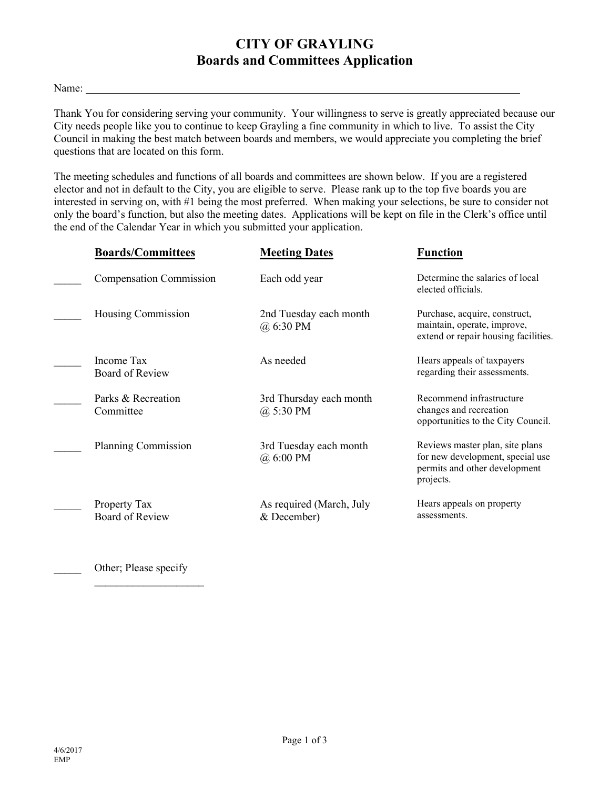#### **CITY OF GRAYLING Boards and Committees Application**

#### Name:

Thank You for considering serving your community. Your willingness to serve is greatly appreciated because our City needs people like you to continue to keep Grayling a fine community in which to live. To assist the City Council in making the best match between boards and members, we would appreciate you completing the brief questions that are located on this form.

The meeting schedules and functions of all boards and committees are shown below. If you are a registered elector and not in default to the City, you are eligible to serve. Please rank up to the top five boards you are interested in serving on, with #1 being the most preferred. When making your selections, be sure to consider not only the board's function, but also the meeting dates. Applications will be kept on file in the Clerk's office until the end of the Calendar Year in which you submitted your application.

| <b>Boards/Committees</b>               | <b>Meeting Dates</b>                     | <b>Function</b>                                                                                                   |
|----------------------------------------|------------------------------------------|-------------------------------------------------------------------------------------------------------------------|
| <b>Compensation Commission</b>         | Each odd year                            | Determine the salaries of local<br>elected officials.                                                             |
| Housing Commission                     | 2nd Tuesday each month<br>$(a)$ 6:30 PM  | Purchase, acquire, construct,<br>maintain, operate, improve,<br>extend or repair housing facilities.              |
| Income Tax<br><b>Board of Review</b>   | As needed                                | Hears appeals of taxpayers<br>regarding their assessments.                                                        |
| Parks & Recreation<br>Committee        | 3rd Thursday each month<br>$(a)$ 5:30 PM | Recommend infrastructure<br>changes and recreation<br>opportunities to the City Council.                          |
| Planning Commission                    | 3rd Tuesday each month<br>(a) 6:00 PM    | Reviews master plan, site plans<br>for new development, special use<br>permits and other development<br>projects. |
| Property Tax<br><b>Board of Review</b> | As required (March, July<br>& December)  | Hears appeals on property<br>assessments.                                                                         |

Other; Please specify

 $\overline{\phantom{a}}$  , where  $\overline{\phantom{a}}$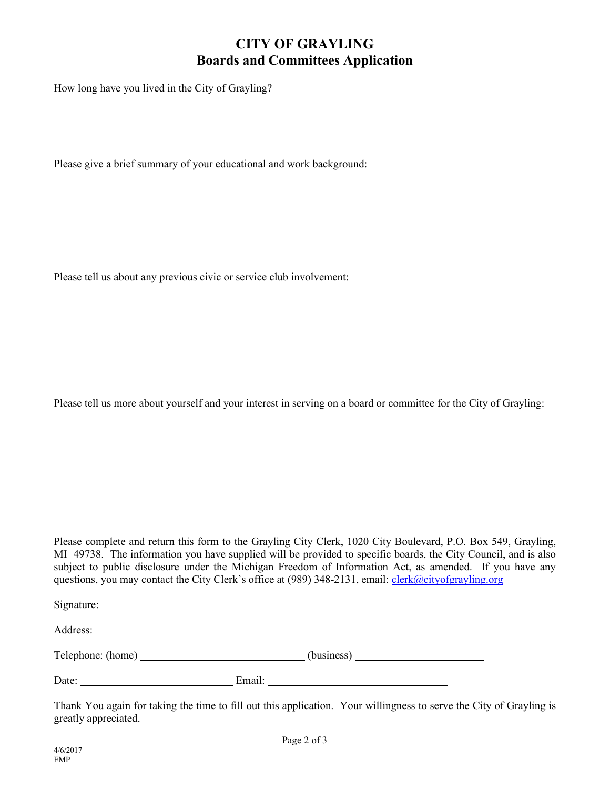# **CITY OF GRAYLING Boards and Committees Application**

How long have you lived in the City of Grayling?

Please give a brief summary of your educational and work background:

Please tell us about any previous civic or service club involvement:

Please tell us more about yourself and your interest in serving on a board or committee for the City of Grayling:

Please complete and return this form to the Grayling City Clerk, 1020 City Boulevard, P.O. Box 549, Grayling, MI 49738. The information you have supplied will be provided to specific boards, the City Council, and is also subject to public disclosure under the Michigan Freedom of Information Act, as amended. If you have any questions, you may contact the City Clerk's office at (989) 348-2131, email: [clerk@cityofgrayling.org](mailto:clerk@cityofgrayling.org)

Signature: Address: Telephone: (home) (business) Date: Email:

Thank You again for taking the time to fill out this application. Your willingness to serve the City of Grayling is greatly appreciated.